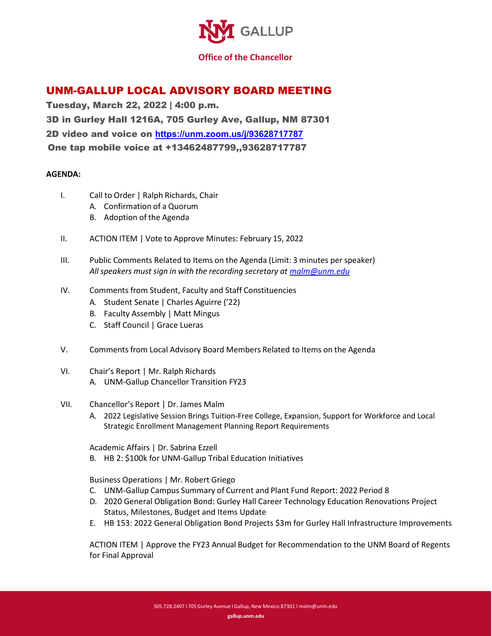

## UNM-GALLUP LOCAL ADVISORY BOARD MEETING

Tuesday, March 22, 2022 | 4:00 p.m. 3D in Gurley Hall 1216A, 705 Gurley Ave, Gallup, NM 87301 2D video and voice on **<https://unm.zoom.us/j/93628717787>** One tap mobile voice at +13462487799,,93628717787

## **AGENDA:**

- I. Call to Order | Ralph Richards, Chair
	- A. Confirmation of a Quorum
	- B. Adoption of the Agenda
- II. ACTION ITEM | Vote to Approve Minutes: February 15, 2022
- III. Public Comments Related to Items on the Agenda (Limit: 3 minutes per speaker) *Allspeakers must sign in with the recording secretary at [malm@unm.edu](mailto:malm@unm.edu)*
- IV. Comments from Student, Faculty and Staff Constituencies
	- A. Student Senate | Charles Aguirre ('22)
	- B. Faculty Assembly | Matt Mingus
	- C. Staff Council | Grace Lueras
- V. Comments from Local Advisory Board Members Related to Items on the Agenda
- VI. Chair's Report | Mr. Ralph Richards A. UNM-Gallup Chancellor Transition FY23
- VII. Chancellor's Report | Dr. James Malm
	- A. 2022 Legislative Session Brings Tuition-Free College, Expansion, Support for Workforce and Local Strategic Enrollment Management Planning Report Requirements

Academic Affairs | Dr. Sabrina Ezzell

B. HB 2: \$100k for UNM-Gallup Tribal Education Initiatives

Business Operations | Mr. Robert Griego

- C. UNM-Gallup Campus Summary of Current and Plant Fund Report: 2022 Period 8
- D. 2020 General Obligation Bond: Gurley Hall Career Technology Education Renovations Project Status, Milestones, Budget and Items Update
- E. HB 153: 2022 General Obligation Bond Projects \$3m for Gurley Hall Infrastructure Improvements

ACTION ITEM | Approve the FY23 Annual Budget for Recommendation to the UNM Board of Regents for Final Approval